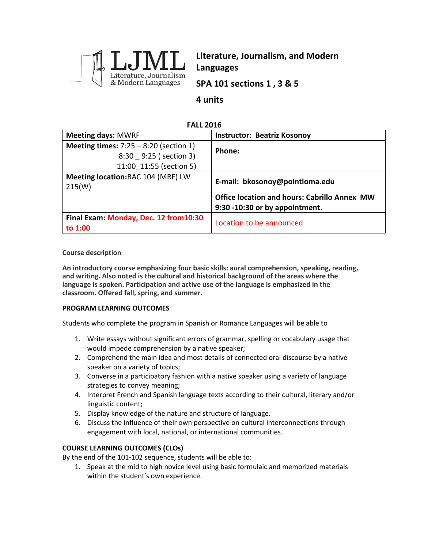

**Literature, Journalism, and Modern Languages**

**SPA 101 sections 1 , 3 & 5**

# **4 units**

## **FALL 2016**

| <b>Meeting days: MWRF</b>                        | <b>Instructor: Beatriz Kosonoy</b>                  |  |
|--------------------------------------------------|-----------------------------------------------------|--|
| Meeting times: $7:25 - 8:20$ (section 1)         | Phone:                                              |  |
| 8:30 9:25 (section 3)                            |                                                     |  |
| 11:00 11:55 (section 5)                          |                                                     |  |
| Meeting location: BAC 104 (MRF) LW               | E-mail: bkosonoy@pointloma.edu                      |  |
| 215(W)                                           |                                                     |  |
|                                                  | <b>Office location and hours: Cabrillo Annex MW</b> |  |
|                                                  | 9:30 -10:30 or by appointment.                      |  |
| Final Exam: Monday, Dec. 12 from10:30<br>to 1:00 | Location to be announced                            |  |

## **Course description**

**An introductory course emphasizing four basic skills: aural comprehension, speaking, reading, and writing. Also noted is the cultural and historical background of the areas where the language is spoken. Participation and active use of the language is emphasized in the classroom. Offered fall, spring, and summer.** 

## **PROGRAM LEARNING OUTCOMES**

Students who complete the program in Spanish or Romance Languages will be able to

- 1. Write essays without significant errors of grammar, spelling or vocabulary usage that would impede comprehension by a native speaker;
- 2. Comprehend the main idea and most details of connected oral discourse by a native speaker on a variety of topics;
- 3. Converse in a participatory fashion with a native speaker using a variety of language strategies to convey meaning;
- 4. Interpret French and Spanish language texts according to their cultural, literary and/or linguistic content;
- 5. Display knowledge of the nature and structure of language.
- 6. Discuss the influence of their own perspective on cultural interconnections through engagement with local, national, or international communities.

## **COURSE LEARNING OUTCOMES (CLOs)**

By the end of the 101-102 sequence, students will be able to:

1. Speak at the mid to high novice level using basic formulaic and memorized materials within the student's own experience.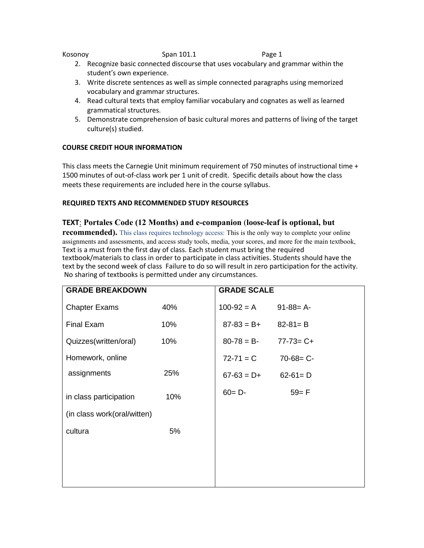- 2. Recognize basic connected discourse that uses vocabulary and grammar within the student's own experience.
- 3. Write discrete sentences as well as simple connected paragraphs using memorized vocabulary and grammar structures.
- 4. Read cultural texts that employ familiar vocabulary and cognates as well as learned grammatical structures.
- 5. Demonstrate comprehension of basic cultural mores and patterns of living of the target culture(s) studied.

## **COURSE CREDIT HOUR INFORMATION**

This class meets the Carnegie Unit minimum requirement of 750 minutes of instructional time + 1500 minutes of out-of-class work per 1 unit of credit. Specific details about how the class meets these requirements are included here in the course syllabus.

# **REQUIRED TEXTS AND RECOMMENDED STUDY RESOURCES**

# **TEXT**: **Portales Code (12 Months) and e-companion** (**loose-leaf is optional, but**

**recommended).** This class requires technology access: This is the only way to complete your online assignments and assessments, and access study tools, media, your scores, and more for the main textbook, Text is a must from the first day of class. Each student must bring the required textbook/materials to class in order to participate in class activities. Students should have the text by the second week of class Failure to do so will result in zero participation for the activity. No sharing of textbooks is permitted under any circumstances.

| <b>GRADE BREAKDOWN</b>      |     | <b>GRADE SCALE</b> |                 |
|-----------------------------|-----|--------------------|-----------------|
| <b>Chapter Exams</b>        | 40% | $100-92 = A$       | $91 - 88 = A$   |
| Final Exam                  | 10% | $87-83 = B+$       | $82 - 81 = B$   |
| Quizzes(written/oral)       | 10% | $80 - 78 = B$      | $77 - 73 = C +$ |
| Homework, online            |     | $72 - 71 = C$      | $70-68 = C$     |
| assignments                 | 25% | $67-63 = D+$       | $62-61 = D$     |
| in class participation      | 10% | $60 = D -$         | $59 = F$        |
| (in class work(oral/witten) |     |                    |                 |
| cultura                     | 5%  |                    |                 |
|                             |     |                    |                 |
|                             |     |                    |                 |
|                             |     |                    |                 |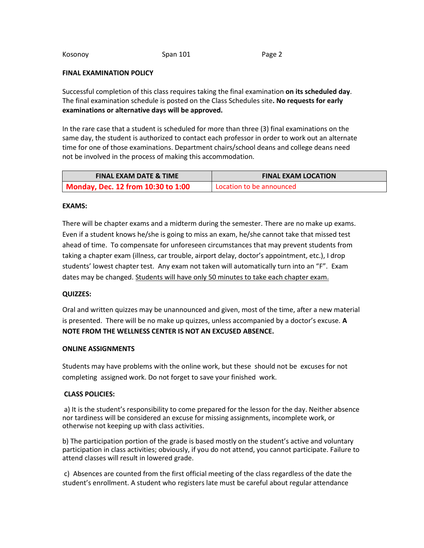Kosonoy **Span 101** Page 2

## **FINAL EXAMINATION POLICY**

Successful completion of this class requires taking the final examination **on its scheduled day**. The final examination schedule is posted on the Class Schedules site**. No requests for early examinations or alternative days will be approved.**

In the rare case that a student is scheduled for more than three (3) final examinations on the same day, the student is authorized to contact each professor in order to work out an alternate time for one of those examinations. Department chairs/school deans and college deans need not be involved in the process of making this accommodation.

| <b>FINAL EXAM DATE &amp; TIME</b>  | <b>FINAL EXAM LOCATION</b> |
|------------------------------------|----------------------------|
| Monday, Dec. 12 from 10:30 to 1:00 | Location to be announced   |

## **EXAMS:**

There will be chapter exams and a midterm during the semester. There are no make up exams. Even if a student knows he/she is going to miss an exam, he/she cannot take that missed test ahead of time. To compensate for unforeseen circumstances that may prevent students from taking a chapter exam (illness, car trouble, airport delay, doctor's appointment, etc.), I drop students' lowest chapter test. Any exam not taken will automatically turn into an "F". Exam dates may be changed. Students will have only 50 minutes to take each chapter exam.

## **QUIZZES:**

Oral and written quizzes may be unannounced and given, most of the time, after a new material is presented. There will be no make up quizzes, unless accompanied by a doctor's excuse. **A NOTE FROM THE WELLNESS CENTER IS NOT AN EXCUSED ABSENCE.**

#### **ONLINE ASSIGNMENTS**

Students may have problems with the online work, but these should not be excuses for not completing assigned work. Do not forget to save your finished work.

## **CLASS POLICIES:**

a) It is the student's responsibility to come prepared for the lesson for the day. Neither absence nor tardiness will be considered an excuse for missing assignments, incomplete work, or otherwise not keeping up with class activities.

b) The participation portion of the grade is based mostly on the student's active and voluntary participation in class activities; obviously, if you do not attend, you cannot participate. Failure to attend classes will result in lowered grade.

c) Absences are counted from the first official meeting of the class regardless of the date the student's enrollment. A student who registers late must be careful about regular attendance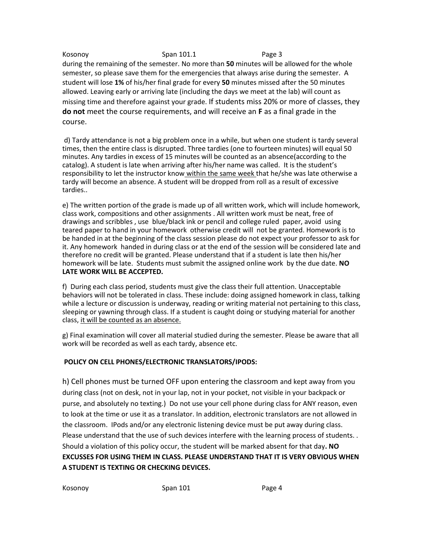Kosonoy Span 101.1 Page 3 during the remaining of the semester. No more than **50** minutes will be allowed for the whole semester, so please save them for the emergencies that always arise during the semester. A student will lose **1%** of his/her final grade for every **50** minutes missed after the 50 minutes allowed. Leaving early or arriving late (including the days we meet at the lab) will count as missing time and therefore against your grade. If students miss 20% or more of classes, they **do not** meet the course requirements, and will receive an **F** as a final grade in the course.

d) Tardy attendance is not a big problem once in a while, but when one student is tardy several times, then the entire class is disrupted. Three tardies (one to fourteen minutes) will equal 50 minutes. Any tardies in excess of 15 minutes will be counted as an absence(according to the catalog). A student is late when arriving after his/her name was called. It is the student's responsibility to let the instructor know within the same week that he/she was late otherwise a tardy will become an absence. A student will be dropped from roll as a result of excessive tardies..

e) The written portion of the grade is made up of all written work, which will include homework, class work, compositions and other assignments . All written work must be neat, free of drawings and scribbles , use blue/black ink or pencil and college ruled paper, avoid using teared paper to hand in your homework otherwise credit will not be granted. Homework is to be handed in at the beginning of the class session please do not expect your professor to ask for it. Any homework handed in during class or at the end of the session will be considered late and therefore no credit will be granted. Please understand that if a student is late then his/her homework will be late. Students must submit the assigned online work by the due date. **NO LATE WORK WILL BE ACCEPTED.**

f) During each class period, students must give the class their full attention. Unacceptable behaviors will not be tolerated in class. These include: doing assigned homework in class, talking while a lecture or discussion is underway, reading or writing material not pertaining to this class, sleeping or yawning through class. If a student is caught doing or studying material for another class, it will be counted as an absence.

g) Final examination will cover all material studied during the semester. Please be aware that all work will be recorded as well as each tardy, absence etc.

# **POLICY ON CELL PHONES/ELECTRONIC TRANSLATORS/IPODS:**

h) Cell phones must be turned OFF upon entering the classroom and kept away from you during class (not on desk, not in your lap, not in your pocket, not visible in your backpack or purse, and absolutely no texting.) Do not use your cell phone during class for ANY reason, even to look at the time or use it as a translator. In addition, electronic translators are not allowed in the classroom. IPods and/or any electronic listening device must be put away during class. Please understand that the use of such devices interfere with the learning process of students. . Should a violation of this policy occur, the student will be marked absent for that day**. NO EXCUSSES FOR USING THEM IN CLASS. PLEASE UNDERSTAND THAT IT IS VERY OBVIOUS WHEN A STUDENT IS TEXTING OR CHECKING DEVICES.**

Kosonoy **Span 101** Page 4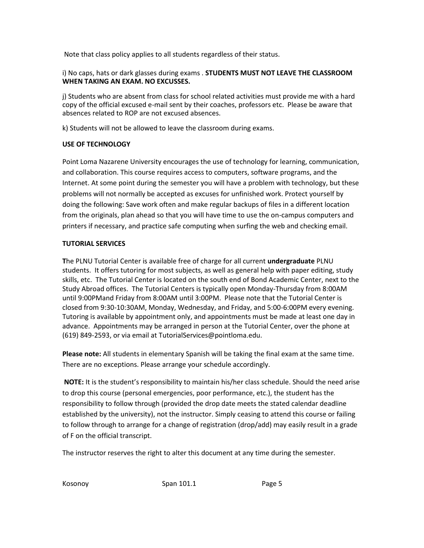Note that class policy applies to all students regardless of their status.

i) No caps, hats or dark glasses during exams . **STUDENTS MUST NOT LEAVE THE CLASSROOM WHEN TAKING AN EXAM. NO EXCUSSES.**

j) Students who are absent from class for school related activities must provide me with a hard copy of the official excused e-mail sent by their coaches, professors etc. Please be aware that absences related to ROP are not excused absences.

k) Students will not be allowed to leave the classroom during exams.

# **USE OF TECHNOLOGY**

Point Loma Nazarene University encourages the use of technology for learning, communication, and collaboration. This course requires access to computers, software programs, and the Internet. At some point during the semester you will have a problem with technology, but these problems will not normally be accepted as excuses for unfinished work. Protect yourself by doing the following: Save work often and make regular backups of files in a different location from the originals, plan ahead so that you will have time to use the on-campus computers and printers if necessary, and practice safe computing when surfing the web and checking email.

# **TUTORIAL SERVICES**

**T**he PLNU Tutorial Center is available free of charge for all current **undergraduate** PLNU students. It offers tutoring for most subjects, as well as general help with paper editing, study skills, etc. The Tutorial Center is located on the south end of Bond Academic Center, next to the Study Abroad offices. The Tutorial Centers is typically open Monday-Thursday from 8:00AM until 9:00PMand Friday from 8:00AM until 3:00PM. Please note that the Tutorial Center is closed from 9:30-10:30AM, Monday, Wednesday, and Friday, and 5:00-6:00PM every evening. Tutoring is available by appointment only, and appointments must be made at least one day in advance. Appointments may be arranged in person at the Tutorial Center, over the phone at (619) 849-2593, or via email at TutorialServices@pointloma.edu.

**Please note:** All students in elementary Spanish will be taking the final exam at the same time. There are no exceptions. Please arrange your schedule accordingly.

**NOTE:** It is the student's responsibility to maintain his/her class schedule. Should the need arise to drop this course (personal emergencies, poor performance, etc.), the student has the responsibility to follow through (provided the drop date meets the stated calendar deadline established by the university), not the instructor. Simply ceasing to attend this course or failing to follow through to arrange for a change of registration (drop/add) may easily result in a grade of F on the official transcript.

The instructor reserves the right to alter this document at any time during the semester.

Kosonoy Span 101.1 Page 5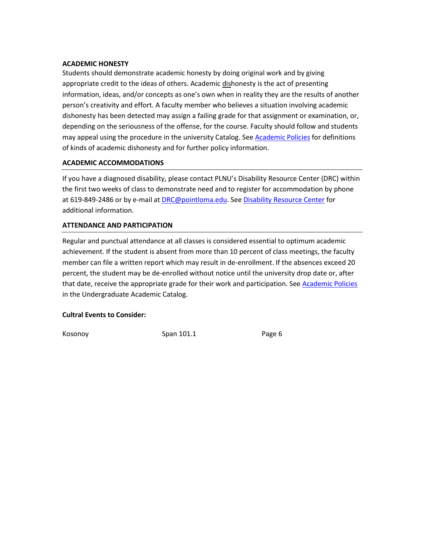## **ACADEMIC HONESTY**

Students should demonstrate academic honesty by doing original work and by giving appropriate credit to the ideas of others. Academic dishonesty is the act of presenting information, ideas, and/or concepts as one's own when in reality they are the results of another person's creativity and effort. A faculty member who believes a situation involving academic dishonesty has been detected may assign a failing grade for that assignment or examination, or, depending on the seriousness of the offense, for the course. Faculty should follow and students may appeal using the procedure in the university Catalog. See [Academic Policies](http://catalog.pointloma.edu/content.php?catoid=18&navoid=1278) for definitions of kinds of academic dishonesty and for further policy information.

## **ACADEMIC ACCOMMODATIONS**

If you have a diagnosed disability, please contact PLNU's Disability Resource Center (DRC) within the first two weeks of class to demonstrate need and to register for accommodation by phone at 619-849-2486 or by e-mail a[t DRC@pointloma.edu.](mailto:DRC@pointloma.edu) Se[e Disability Resource Center](http://www.pointloma.edu/experience/offices/administrative-offices/academic-advising-office/disability-resource-center) for additional information.

## **ATTENDANCE AND PARTICIPATION**

Regular and punctual attendance at all classes is considered essential to optimum academic achievement. If the student is absent from more than 10 percent of class meetings, the faculty member can file a written report which may result in de-enrollment. If the absences exceed 20 percent, the student may be de-enrolled without notice until the university drop date or, after that date, receive the appropriate grade for their work and participation. Se[e Academic Policies](http://catalog.pointloma.edu/content.php?catoid=18&navoid=1278) in the Undergraduate Academic Catalog.

## **Cultral Events to Consider:**

Kosonoy **Span 101.1** Page 6